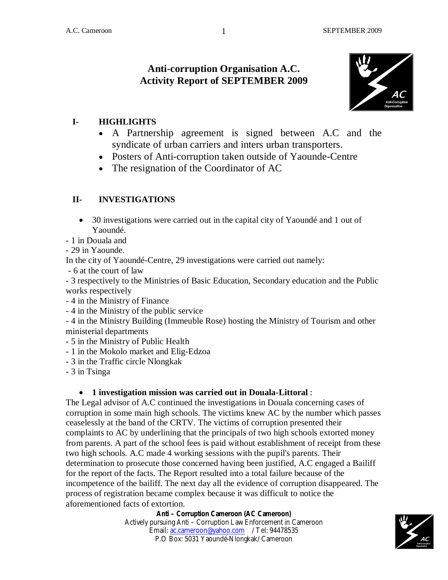# **Anti-corruption Organisation A.C. Activity Report of SEPTEMBER 2009**



### **I- HIGHLIGHTS**

- A Partnership agreement is signed between A.C and the syndicate of urban carriers and inters urban transporters.
- Posters of Anti-corruption taken outside of Yaounde-Centre
- The resignation of the Coordinator of AC

## **II- INVESTIGATIONS**

- 30 investigations were carried out in the capital city of Yaoundé and 1 out of Yaoundé.
- 1 in Douala and
- 29 in Yaounde.

In the city of Yaoundé-Centre, 29 investigations were carried out namely:

- 6 at the court of law

- 3 respectively to the Ministries of Basic Education, Secondary education and the Public works respectively

- 4 in the Ministry of Finance
- 4 in the Ministry of the public service

- 4 in the Ministry Building (Immeuble Rose) hosting the Ministry of Tourism and other ministerial departments

- 5 in the Ministry of Public Health
- 1 in the Mokolo market and Elig-Edzoa
- 3 in the Traffic circle Nlongkak
- 3 in Tsinga

#### **1 investigation mission was carried out in Douala-Littoral** :

The Legal advisor of A.C continued the investigations in Douala concerning cases of corruption in some main high schools. The victims knew AC by the number which passes ceaselessly at the band of the CRTV. The victims of corruption presented their complaints to AC by underlining that the principals of two high schools extorted money from parents. A part of the school fees is paid without establishment of receipt from these two high schools. A.C made 4 working sessions with the pupil's parents. Their determination to prosecute those concerned having been justified, A.C engaged a Bailiff for the report of the facts. The Report resulted into a total failure because of the incompetence of the bailiff. The next day all the evidence of corruption disappeared. The process of registration became complex because it was difficult to notice the aforementioned facts of extortion.

#### **Anti – Corruption Cameroon (AC Cameroon)**

Actively pursuing Anti – Corruption Law Enforcement in Cameroon Email: ac.cameroon@yahoo.com / Tel: 94478535 P.O Box: 5031 Yaoundé-Nlongkak/ Cameroon



1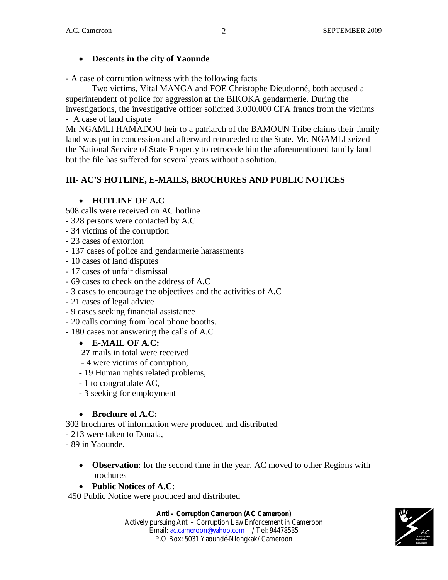#### **Descents in the city of Yaounde**

- A case of corruption witness with the following facts

Two victims, Vital MANGA and FOE Christophe Dieudonné, both accused a superintendent of police for aggression at the BIKOKA gendarmerie. During the investigations, the investigative officer solicited 3.000.000 CFA francs from the victims - A case of land dispute

Mr NGAMLI HAMADOU heir to a patriarch of the BAMOUN Tribe claims their family land was put in concession and afterward retroceded to the State. Mr. NGAMLI seized the National Service of State Property to retrocede him the aforementioned family land but the file has suffered for several years without a solution.

## **III- AC'S HOTLINE, E-MAILS, BROCHURES AND PUBLIC NOTICES**

#### **HOTLINE OF A.C**

508 calls were received on AC hotline

- 328 persons were contacted by A.C
- 34 victims of the corruption
- 23 cases of extortion
- 137 cases of police and gendarmerie harassments
- 10 cases of land disputes
- 17 cases of unfair dismissal
- 69 cases to check on the address of A.C
- 3 cases to encourage the objectives and the activities of A.C
- 21 cases of legal advice
- 9 cases seeking financial assistance
- 20 calls coming from local phone booths.
- 180 cases not answering the calls of A.C

#### **E-MAIL OF A.C:**

- **27** mails in total were received
- 4 were victims of corruption,
- 19 Human rights related problems,
- 1 to congratulate AC,
- 3 seeking for employment

#### **Brochure of A.C:**

302 brochures of information were produced and distributed

- 213 were taken to Douala,
- 89 in Yaounde.
	- **Observation**: for the second time in the year, AC moved to other Regions with brochures

#### **Public Notices of A.C:**

450 Public Notice were produced and distributed

#### **Anti – Corruption Cameroon (AC Cameroon)**

Actively pursuing Anti – Corruption Law Enforcement in Cameroon Email: ac.cameroon@yahoo.com / Tel: 94478535 P.O Box: 5031 Yaoundé-Nlongkak/ Cameroon

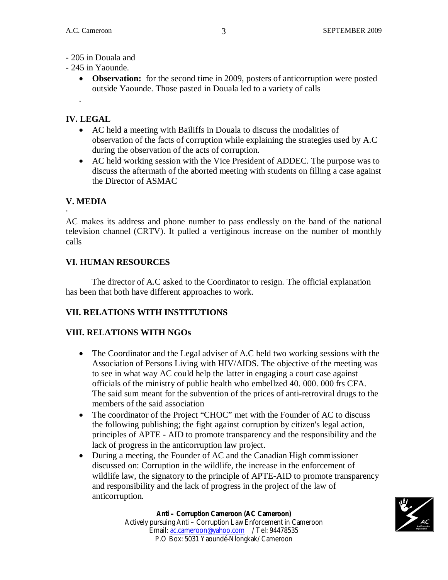- 205 in Douala and
- 245 in Yaounde.
	- **Observation:** for the second time in 2009, posters of anticorruption were posted outside Yaounde. Those pasted in Douala led to a variety of calls

## **IV. LEGAL**

.

- AC held a meeting with Bailiffs in Douala to discuss the modalities of observation of the facts of corruption while explaining the strategies used by A.C during the observation of the acts of corruption.
- AC held working session with the Vice President of ADDEC. The purpose was to discuss the aftermath of the aborted meeting with students on filling a case against the Director of ASMAC

# **V. MEDIA**

· AC makes its address and phone number to pass endlessly on the band of the national television channel (CRTV). It pulled a vertiginous increase on the number of monthly calls

# **VI. HUMAN RESOURCES**

The director of A.C asked to the Coordinator to resign. The official explanation has been that both have different approaches to work.

## **VII. RELATIONS WITH INSTITUTIONS**

## **VIII. RELATIONS WITH NGOs**

- The Coordinator and the Legal adviser of A.C held two working sessions with the Association of Persons Living with HIV/AIDS. The objective of the meeting was to see in what way AC could help the latter in engaging a court case against officials of the ministry of public health who embellzed 40. 000. 000 frs CFA. The said sum meant for the subvention of the prices of anti-retroviral drugs to the members of the said association
- The coordinator of the Project "CHOC" met with the Founder of AC to discuss the following publishing; the fight against corruption by citizen's legal action, principles of APTE - AID to promote transparency and the responsibility and the lack of progress in the anticorruption law project.
- During a meeting, the Founder of AC and the Canadian High commissioner discussed on: Corruption in the wildlife, the increase in the enforcement of wildlife law, the signatory to the principle of APTE-AID to promote transparency and responsibility and the lack of progress in the project of the law of anticorruption.

Email: ac.cameroon@yahoo.com / Tel: 94478535 P.O Box: 5031 Yaoundé-Nlongkak/ Cameroon